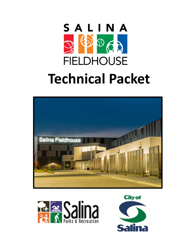





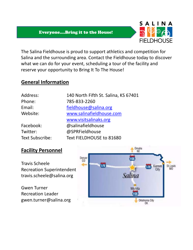#### Everyone….Bring it to the House!



The Salina Fieldhouse is proud to support athletics and competition for Salina and the surrounding area. Contact the Fieldhouse today to discover what we can do for your event, scheduling a tour of the facility and reserve your opportunity to Bring It To The House!

#### **General Information**

| Address:               | 140 North Fifth St. Salina, KS 67401 |
|------------------------|--------------------------------------|
| Phone:                 | 785-833-2260                         |
| Email:                 | fieldhouse@salina.org                |
| Website:               | www.salinafieldhouse.com             |
|                        | www.visitsalinaks.org                |
| Facebook:              | @salinafieldhouse                    |
| Twitter:               | @SPRFieldhouse                       |
| <b>Text Subscribe:</b> | Text FIELDHOUSE to 81680             |

#### **Facility Personnel**

Travis Scheele Recreation Superintendent travis.scheele@salina.org

Gwen Turner Recreation Leader gwen.turner@salina.org

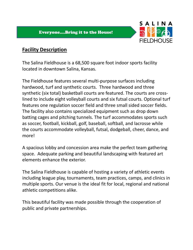

## **Facility Description**

The Salina Fieldhouse is a 68,500 square foot indoor sports facility located in downtown Salina, Kansas.

The Fieldhouse features several multi‐purpose surfaces including hardwood, turf and synthetic courts. Three hardwood and three synthetic (six total) basketball courts are featured. The courts are crosslined to include eight volleyball courts and six futsal courts. Optional turf features one regulation soccer field and three small sided soccer fields. The facility also contains specialized equipment such as drop down batting cages and pitching tunnels. The turf accommodates sports such as soccer, football, kickball, golf, baseball, softball, and lacrosse while the courts accommodate volleyball, futsal, dodgeball, cheer, dance, and more!

A spacious lobby and concession area make the perfect team gathering space. Adequate parking and beautiful landscaping with featured art elements enhance the exterior.

The Salina Fieldhouse is capable of hosting a variety of athletic events including league play, tournaments, team practices, camps, and clinics in multiple sports. Our venue is the ideal fit for local, regional and national athletic competitions alike.

This beautiful facility was made possible through the cooperation of public and private partnerships.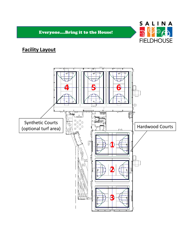

# **Facility Layout**

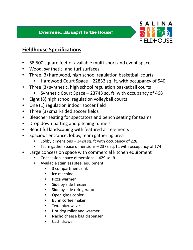

## **Fieldhouse Specifications**

- 68,500 square feet of available multi‐sport and event space
- Wood, synthetic, and turf surfaces
- Three (3) hardwood, high school regulation basketball courts
	- Hardwood Court Space 22833 sq. ft. with occupancy of 540
- Three (3) synthetic, high school regulation basketball courts
	- Synthetic Court Space 23743 sq. ft. with occupancy of 468
- Eight (8) high school regulation volleyball courts
- One (1) regulation indoor soccer field
- Three (3) small‐sided soccer fields
- Bleacher seating for spectators and bench seating for teams
- Drop down batting and pitching tunnels
- Beautiful landscaping with featured art elements
- Spacious entrance, lobby, team gathering area
	- Lobby dimensions  $-3424$  sq. ft with occupancy of 228
	- Team gather space dimensions 2373 sq. ft. with occupancy of 174
- Large concession space with commercial kitchen equipment
	- Concession space dimensions  $-429$  sq. ft.
	- Available stainless steel equipment:
		- 3 compartment sink
		- Ice machine
		- Pizza warmer
		- Side by side freezer
		- Side by side refrigerator
		- Open glass cooler
		- Bunn coffee maker
		- Two microwaves
		- Hot dog roller and warmer
		- Nacho cheese bag dispenser
		- Cash drawer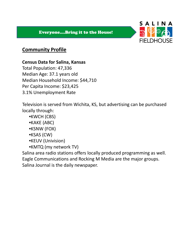

## **Community Profile**

#### **Census Data for Salina, Kansas**

Total Population: 47,336 Median Age: 37.1 years old Median Household Income: \$44,710 Per Capita Income: \$23,425 3.1% Unemployment Rate

Television is served from Wichita, KS, but advertising can be purchased locally through:

- •KWCH (CBS)
- •KAKE (ABC)
- •KSNW (FOX)
- •KSAS (CW)
- •KEUV (Univision)
- •KMTQ (my network TV)

Salina area radio stations offers locally produced programming as well. Eagle Communications and Rocking M Media are the major groups. Salina Journal is the daily newspaper.